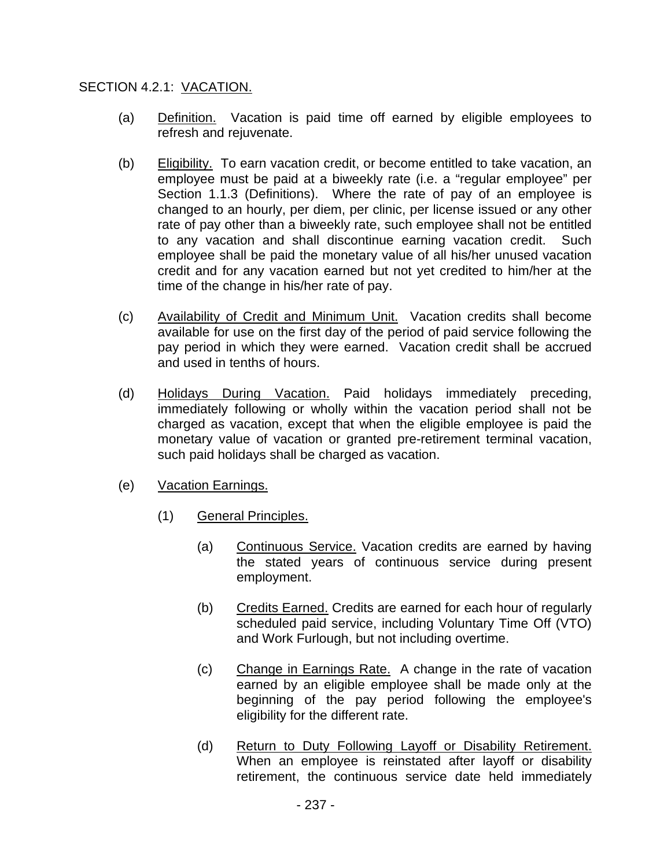## SECTION 4.2.1: VACATION.

- (a) Definition. Vacation is paid time off earned by eligible employees to refresh and rejuvenate.
- (b) Eligibility. To earn vacation credit, or become entitled to take vacation, an employee must be paid at a biweekly rate (i.e. a "regular employee" per Section 1.1.3 (Definitions). Where the rate of pay of an employee is changed to an hourly, per diem, per clinic, per license issued or any other rate of pay other than a biweekly rate, such employee shall not be entitled to any vacation and shall discontinue earning vacation credit. Such employee shall be paid the monetary value of all his/her unused vacation credit and for any vacation earned but not yet credited to him/her at the time of the change in his/her rate of pay.
- (c) Availability of Credit and Minimum Unit. Vacation credits shall become available for use on the first day of the period of paid service following the pay period in which they were earned. Vacation credit shall be accrued and used in tenths of hours.
- (d) Holidays During Vacation. Paid holidays immediately preceding, immediately following or wholly within the vacation period shall not be charged as vacation, except that when the eligible employee is paid the monetary value of vacation or granted pre-retirement terminal vacation, such paid holidays shall be charged as vacation.
- (e) Vacation Earnings.
	- (1) General Principles.
		- (a) Continuous Service. Vacation credits are earned by having the stated years of continuous service during present employment.
		- (b) Credits Earned. Credits are earned for each hour of regularly scheduled paid service, including Voluntary Time Off (VTO) and Work Furlough, but not including overtime.
		- (c) Change in Earnings Rate. A change in the rate of vacation earned by an eligible employee shall be made only at the beginning of the pay period following the employee's eligibility for the different rate.
		- (d) Return to Duty Following Layoff or Disability Retirement. When an employee is reinstated after layoff or disability retirement, the continuous service date held immediately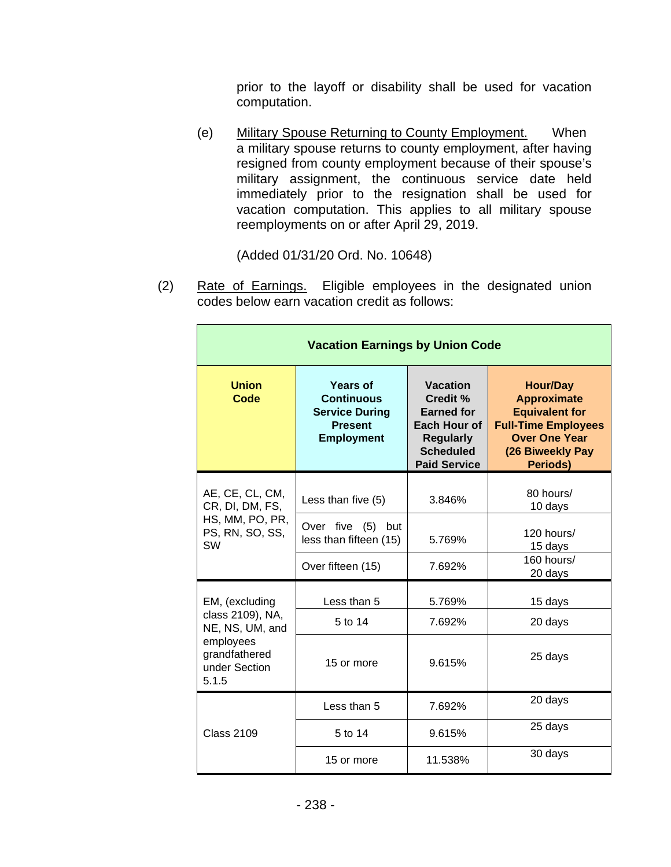prior to the layoff or disability shall be used for vacation computation.

(e) Military Spouse Returning to County Employment. When a military spouse returns to county employment, after having resigned from county employment because of their spouse's military assignment, the continuous service date held immediately prior to the resignation shall be used for vacation computation. This applies to all military spouse reemployments on or after April 29, 2019.

(Added 01/31/20 Ord. No. 10648)

(2) Rate of Earnings. Eligible employees in the designated union codes below earn vacation credit as follows:

| <b>Vacation Earnings by Union Code</b>                                                                        |                                                                                                      |                                                                                                                                        |                                                                                                                                                      |  |  |  |
|---------------------------------------------------------------------------------------------------------------|------------------------------------------------------------------------------------------------------|----------------------------------------------------------------------------------------------------------------------------------------|------------------------------------------------------------------------------------------------------------------------------------------------------|--|--|--|
| <b>Union</b><br>Code                                                                                          | <b>Years of</b><br><b>Continuous</b><br><b>Service During</b><br><b>Present</b><br><b>Employment</b> | <b>Vacation</b><br><b>Credit %</b><br><b>Earned for</b><br>Each Hour of<br><b>Regularly</b><br><b>Scheduled</b><br><b>Paid Service</b> | <b>Hour/Day</b><br><b>Approximate</b><br><b>Equivalent for</b><br><b>Full-Time Employees</b><br><b>Over One Year</b><br>(26 Biweekly Pay<br>Periods) |  |  |  |
| AE, CE, CL, CM,<br>CR, DI, DM, FS,<br>HS, MM, PO, PR,<br>PS, RN, SO, SS,<br>SW                                | Less than five (5)                                                                                   | 3.846%                                                                                                                                 | 80 hours/<br>10 days                                                                                                                                 |  |  |  |
|                                                                                                               | Over five (5)<br>but<br>less than fifteen (15)                                                       | 5.769%                                                                                                                                 | 120 hours/<br>15 days                                                                                                                                |  |  |  |
|                                                                                                               | Over fifteen (15)                                                                                    | 7.692%                                                                                                                                 | 160 hours/<br>20 days                                                                                                                                |  |  |  |
| EM, (excluding<br>class 2109), NA,<br>NE, NS, UM, and<br>employees<br>grandfathered<br>under Section<br>5.1.5 | Less than 5                                                                                          | 5.769%                                                                                                                                 | 15 days                                                                                                                                              |  |  |  |
|                                                                                                               | 5 to 14                                                                                              | 7.692%                                                                                                                                 | 20 days                                                                                                                                              |  |  |  |
|                                                                                                               | 15 or more                                                                                           | 9.615%                                                                                                                                 | 25 days                                                                                                                                              |  |  |  |
| <b>Class 2109</b>                                                                                             | Less than 5                                                                                          | 7.692%                                                                                                                                 | 20 days                                                                                                                                              |  |  |  |
|                                                                                                               | 5 to 14                                                                                              | 9.615%                                                                                                                                 | 25 days                                                                                                                                              |  |  |  |
|                                                                                                               | 15 or more                                                                                           | 11.538%                                                                                                                                | 30 days                                                                                                                                              |  |  |  |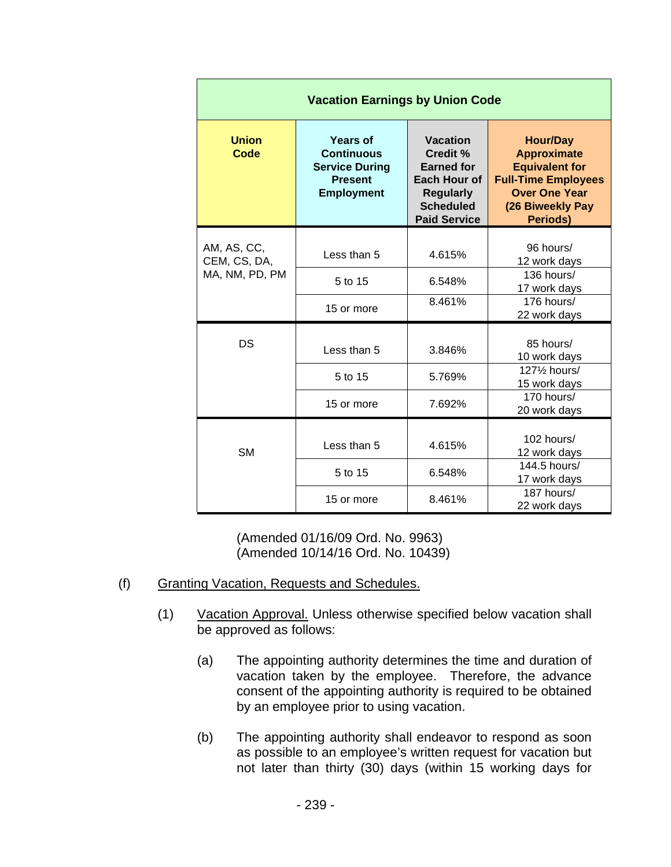| <b>Vacation Earnings by Union Code</b> |                                                                                                      |                                                                                                                                 |                                                                                                                                                             |  |  |  |
|----------------------------------------|------------------------------------------------------------------------------------------------------|---------------------------------------------------------------------------------------------------------------------------------|-------------------------------------------------------------------------------------------------------------------------------------------------------------|--|--|--|
| <b>Union</b><br>Code                   | <b>Years of</b><br><b>Continuous</b><br><b>Service During</b><br><b>Present</b><br><b>Employment</b> | <b>Vacation</b><br>Credit %<br><b>Earned for</b><br>Each Hour of<br><b>Regularly</b><br><b>Scheduled</b><br><b>Paid Service</b> | <b>Hour/Day</b><br><b>Approximate</b><br><b>Equivalent for</b><br><b>Full-Time Employees</b><br><b>Over One Year</b><br>(26 Biweekly Pay<br><b>Periods)</b> |  |  |  |
| AM, AS, CC,<br>CEM, CS, DA,            | Less than 5                                                                                          | 4.615%                                                                                                                          | 96 hours/<br>12 work days                                                                                                                                   |  |  |  |
| MA, NM, PD, PM                         | 5 to 15                                                                                              | 6.548%                                                                                                                          | 136 hours/<br>17 work days                                                                                                                                  |  |  |  |
|                                        | 15 or more                                                                                           | 8.461%                                                                                                                          | 176 hours/<br>22 work days                                                                                                                                  |  |  |  |
| DS                                     | Less than 5                                                                                          | 3.846%                                                                                                                          | 85 hours/<br>10 work days                                                                                                                                   |  |  |  |
|                                        | 5 to 15                                                                                              | 5.769%                                                                                                                          | 1271/ <sub>2</sub> hours/<br>15 work days                                                                                                                   |  |  |  |
|                                        | 15 or more                                                                                           | 7.692%                                                                                                                          | 170 hours/<br>20 work days                                                                                                                                  |  |  |  |
| <b>SM</b>                              | Less than 5                                                                                          | 4.615%                                                                                                                          | 102 hours/<br>12 work days                                                                                                                                  |  |  |  |
|                                        | 5 to 15<br>6.548%                                                                                    |                                                                                                                                 | 144.5 hours/<br>17 work days                                                                                                                                |  |  |  |
|                                        | 15 or more                                                                                           | 8.461%                                                                                                                          | 187 hours/<br>22 work days                                                                                                                                  |  |  |  |

(Amended 01/16/09 Ord. No. 9963) (Amended 10/14/16 Ord. No. 10439)

- (f) Granting Vacation, Requests and Schedules.
	- (1) Vacation Approval. Unless otherwise specified below vacation shall be approved as follows:
		- (a) The appointing authority determines the time and duration of vacation taken by the employee. Therefore, the advance consent of the appointing authority is required to be obtained by an employee prior to using vacation.
		- (b) The appointing authority shall endeavor to respond as soon as possible to an employee's written request for vacation but not later than thirty (30) days (within 15 working days for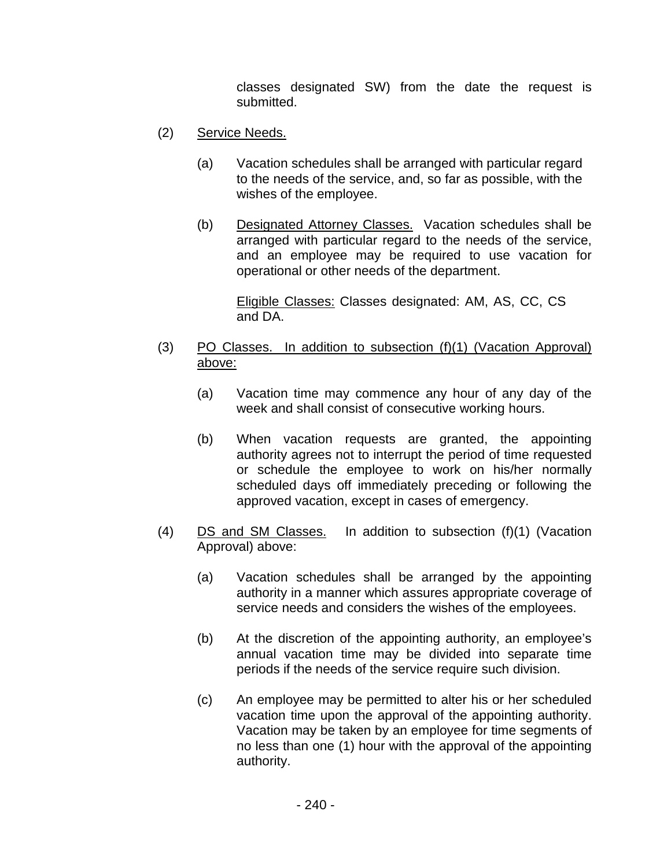classes designated SW) from the date the request is submitted.

- (2) Service Needs.
	- (a) Vacation schedules shall be arranged with particular regard to the needs of the service, and, so far as possible, with the wishes of the employee.
	- (b) Designated Attorney Classes. Vacation schedules shall be arranged with particular regard to the needs of the service, and an employee may be required to use vacation for operational or other needs of the department.

Eligible Classes: Classes designated: AM, AS, CC, CS and DA.

- (3) PO Classes. In addition to subsection (f)(1) (Vacation Approval) above:
	- (a) Vacation time may commence any hour of any day of the week and shall consist of consecutive working hours.
	- (b) When vacation requests are granted, the appointing authority agrees not to interrupt the period of time requested or schedule the employee to work on his/her normally scheduled days off immediately preceding or following the approved vacation, except in cases of emergency.
- (4) DS and SM Classes. In addition to subsection (f)(1) (Vacation Approval) above:
	- (a) Vacation schedules shall be arranged by the appointing authority in a manner which assures appropriate coverage of service needs and considers the wishes of the employees.
	- (b) At the discretion of the appointing authority, an employee's annual vacation time may be divided into separate time periods if the needs of the service require such division.
	- (c) An employee may be permitted to alter his or her scheduled vacation time upon the approval of the appointing authority. Vacation may be taken by an employee for time segments of no less than one (1) hour with the approval of the appointing authority.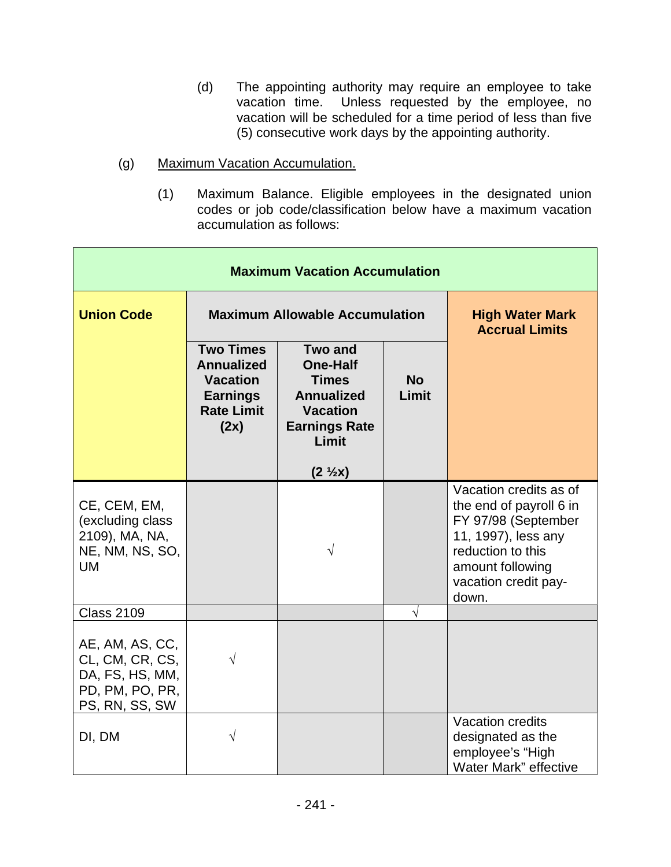- (d) The appointing authority may require an employee to take vacation time. Unless requested by the employee, no vacation will be scheduled for a time period of less than five (5) consecutive work days by the appointing authority.
- (g) Maximum Vacation Accumulation.
	- (1) Maximum Balance. Eligible employees in the designated union codes or job code/classification below have a maximum vacation accumulation as follows:

| <b>Maximum Vacation Accumulation</b>                                                       |                                                                                                          |                                                                                                                                                  |                    |                                                                                                                                                                           |  |
|--------------------------------------------------------------------------------------------|----------------------------------------------------------------------------------------------------------|--------------------------------------------------------------------------------------------------------------------------------------------------|--------------------|---------------------------------------------------------------------------------------------------------------------------------------------------------------------------|--|
| <b>Union Code</b>                                                                          | <b>Maximum Allowable Accumulation</b>                                                                    |                                                                                                                                                  |                    | <b>High Water Mark</b><br><b>Accrual Limits</b>                                                                                                                           |  |
|                                                                                            | <b>Two Times</b><br><b>Annualized</b><br><b>Vacation</b><br><b>Earnings</b><br><b>Rate Limit</b><br>(2x) | <b>Two and</b><br><b>One-Half</b><br><b>Times</b><br><b>Annualized</b><br><b>Vacation</b><br><b>Earnings Rate</b><br>Limit<br>$(2 \frac{1}{2}x)$ | <b>No</b><br>Limit |                                                                                                                                                                           |  |
| CE, CEM, EM,<br>(excluding class<br>2109), MA, NA,<br>NE, NM, NS, SO,<br><b>UM</b>         |                                                                                                          | $\sqrt{}$                                                                                                                                        |                    | Vacation credits as of<br>the end of payroll 6 in<br>FY 97/98 (September<br>11, 1997), less any<br>reduction to this<br>amount following<br>vacation credit pay-<br>down. |  |
| <b>Class 2109</b>                                                                          |                                                                                                          |                                                                                                                                                  | $\sqrt{}$          |                                                                                                                                                                           |  |
| AE, AM, AS, CC,<br>CL, CM, CR, CS,<br>DA, FS, HS, MM,<br>PD, PM, PO, PR,<br>PS, RN, SS, SW | V                                                                                                        |                                                                                                                                                  |                    |                                                                                                                                                                           |  |
| DI, DM                                                                                     | V                                                                                                        |                                                                                                                                                  |                    | Vacation credits<br>designated as the<br>employee's "High<br>Water Mark" effective                                                                                        |  |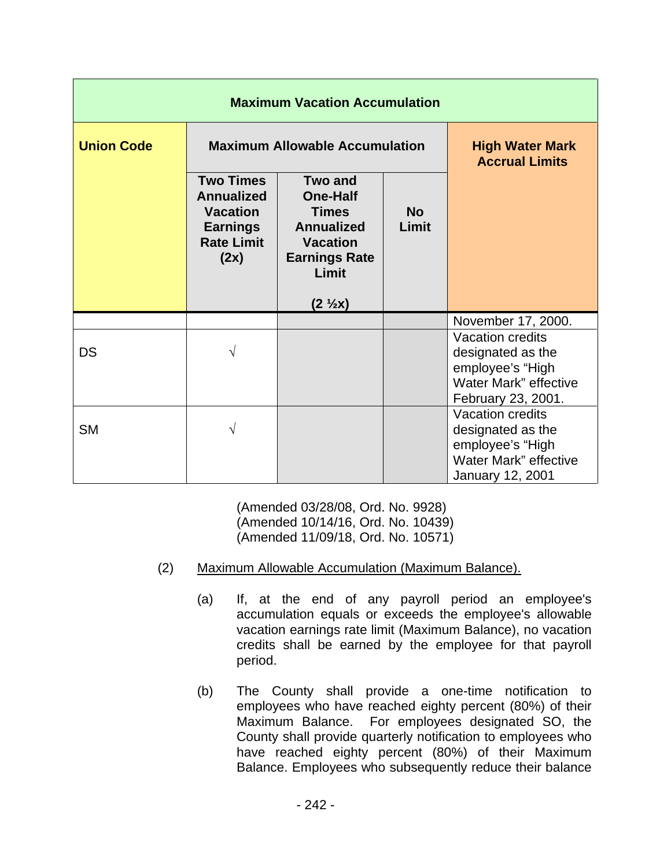| <b>Maximum Vacation Accumulation</b> |                                                                                                          |                                                                                                                                                  |                    |                                                                                                                        |  |
|--------------------------------------|----------------------------------------------------------------------------------------------------------|--------------------------------------------------------------------------------------------------------------------------------------------------|--------------------|------------------------------------------------------------------------------------------------------------------------|--|
| <b>Union Code</b>                    | <b>Maximum Allowable Accumulation</b>                                                                    |                                                                                                                                                  |                    | <b>High Water Mark</b><br><b>Accrual Limits</b>                                                                        |  |
|                                      | <b>Two Times</b><br><b>Annualized</b><br><b>Vacation</b><br><b>Earnings</b><br><b>Rate Limit</b><br>(2x) | <b>Two and</b><br><b>One-Half</b><br><b>Times</b><br><b>Annualized</b><br><b>Vacation</b><br><b>Earnings Rate</b><br>Limit<br>$(2 \frac{1}{2}x)$ | <b>No</b><br>Limit |                                                                                                                        |  |
|                                      |                                                                                                          |                                                                                                                                                  |                    | November 17, 2000.                                                                                                     |  |
| <b>DS</b>                            | V                                                                                                        |                                                                                                                                                  |                    | <b>Vacation credits</b><br>designated as the<br>employee's "High<br><b>Water Mark"</b> effective<br>February 23, 2001. |  |
| <b>SM</b>                            | $\sqrt{}$                                                                                                |                                                                                                                                                  |                    | <b>Vacation credits</b><br>designated as the<br>employee's "High<br>Water Mark" effective<br><b>January 12, 2001</b>   |  |

(Amended 03/28/08, Ord. No. 9928) (Amended 10/14/16, Ord. No. 10439) (Amended 11/09/18, Ord. No. 10571)

- (2) Maximum Allowable Accumulation (Maximum Balance).
	- (a) If, at the end of any payroll period an employee's accumulation equals or exceeds the employee's allowable vacation earnings rate limit (Maximum Balance), no vacation credits shall be earned by the employee for that payroll period.
	- (b) The County shall provide a one-time notification to employees who have reached eighty percent (80%) of their Maximum Balance. For employees designated SO, the County shall provide quarterly notification to employees who have reached eighty percent (80%) of their Maximum Balance. Employees who subsequently reduce their balance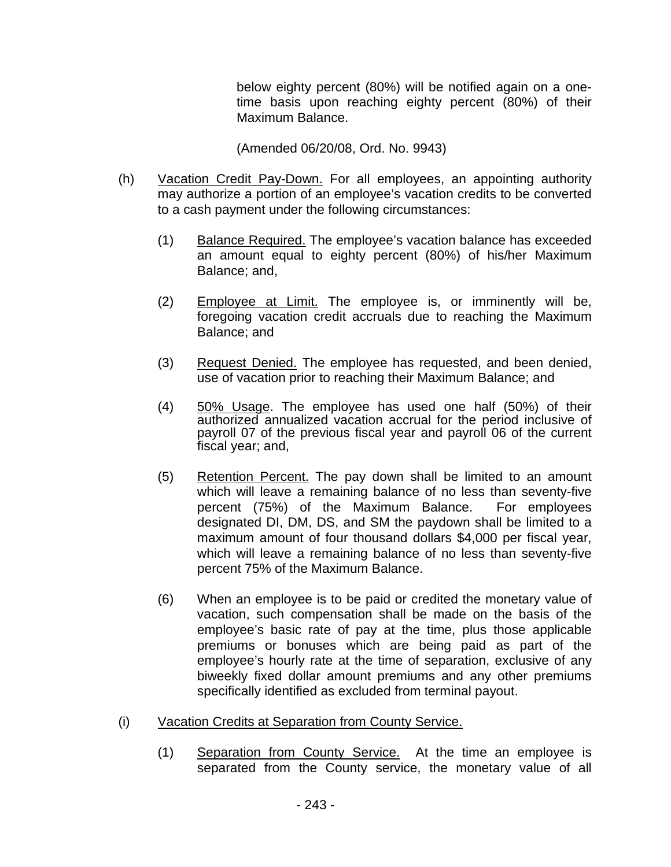below eighty percent (80%) will be notified again on a onetime basis upon reaching eighty percent (80%) of their Maximum Balance.

(Amended 06/20/08, Ord. No. 9943)

- (h) Vacation Credit Pay-Down. For all employees, an appointing authority may authorize a portion of an employee's vacation credits to be converted to a cash payment under the following circumstances:
	- (1) Balance Required. The employee's vacation balance has exceeded an amount equal to eighty percent (80%) of his/her Maximum Balance; and,
	- (2) Employee at Limit. The employee is, or imminently will be, foregoing vacation credit accruals due to reaching the Maximum Balance; and
	- (3) Request Denied. The employee has requested, and been denied, use of vacation prior to reaching their Maximum Balance; and
	- (4) 50% Usage. The employee has used one half (50%) of their authorized annualized vacation accrual for the period inclusive of payroll 07 of the previous fiscal year and payroll 06 of the current fiscal year; and,
	- (5) Retention Percent. The pay down shall be limited to an amount which will leave a remaining balance of no less than seventy-five percent (75%) of the Maximum Balance. For employees designated DI, DM, DS, and SM the paydown shall be limited to a maximum amount of four thousand dollars \$4,000 per fiscal year, which will leave a remaining balance of no less than seventy-five percent 75% of the Maximum Balance.
	- (6) When an employee is to be paid or credited the monetary value of vacation, such compensation shall be made on the basis of the employee's basic rate of pay at the time, plus those applicable premiums or bonuses which are being paid as part of the employee's hourly rate at the time of separation, exclusive of any biweekly fixed dollar amount premiums and any other premiums specifically identified as excluded from terminal payout.
- (i) Vacation Credits at Separation from County Service.
	- (1) Separation from County Service. At the time an employee is separated from the County service, the monetary value of all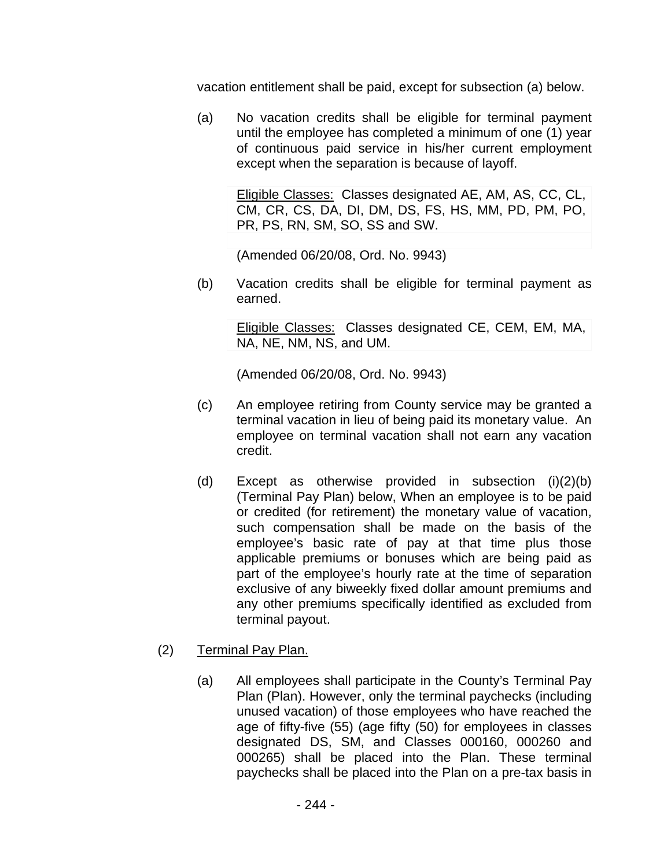vacation entitlement shall be paid, except for subsection (a) below.

(a) No vacation credits shall be eligible for terminal payment until the employee has completed a minimum of one (1) year of continuous paid service in his/her current employment except when the separation is because of layoff.

Eligible Classes: Classes designated AE, AM, AS, CC, CL, CM, CR, CS, DA, DI, DM, DS, FS, HS, MM, PD, PM, PO, PR, PS, RN, SM, SO, SS and SW.

(Amended 06/20/08, Ord. No. 9943)

(b) Vacation credits shall be eligible for terminal payment as earned.

> Eligible Classes: Classes designated CE, CEM, EM, MA, NA, NE, NM, NS, and UM.

(Amended 06/20/08, Ord. No. 9943)

- (c) An employee retiring from County service may be granted a terminal vacation in lieu of being paid its monetary value. An employee on terminal vacation shall not earn any vacation credit.
- (d) Except as otherwise provided in subsection (i)(2)(b) (Terminal Pay Plan) below, When an employee is to be paid or credited (for retirement) the monetary value of vacation, such compensation shall be made on the basis of the employee's basic rate of pay at that time plus those applicable premiums or bonuses which are being paid as part of the employee's hourly rate at the time of separation exclusive of any biweekly fixed dollar amount premiums and any other premiums specifically identified as excluded from terminal payout.
- (2) Terminal Pay Plan.
	- (a) All employees shall participate in the County's Terminal Pay Plan (Plan). However, only the terminal paychecks (including unused vacation) of those employees who have reached the age of fifty-five (55) (age fifty (50) for employees in classes designated DS, SM, and Classes 000160, 000260 and 000265) shall be placed into the Plan. These terminal paychecks shall be placed into the Plan on a pre-tax basis in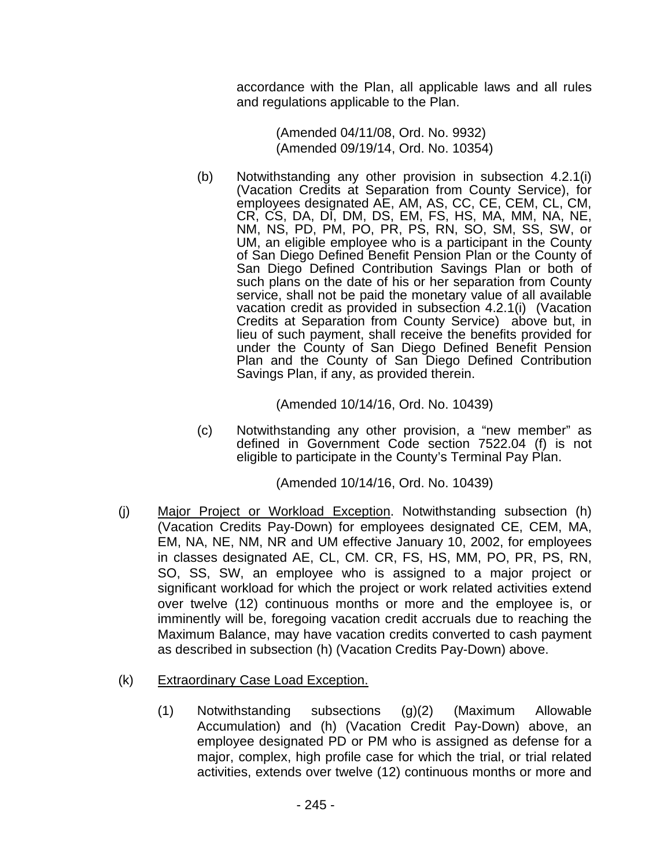accordance with the Plan, all applicable laws and all rules and regulations applicable to the Plan.

> (Amended 04/11/08, Ord. No. 9932) (Amended 09/19/14, Ord. No. 10354)

(b) Notwithstanding any other provision in subsection 4.2.1(i) (Vacation Credits at Separation from County Service), for employees designated AE, AM, AS, CC, CE, CEM, CL, CM, CR, CS, DA, DI, DM, DS, EM, FS, HS, MA, MM, NA, NE, NM, NS, PD, PM, PO, PR, PS, RN, SO, SM, SS, SW, or UM, an eligible employee who is a participant in the County of San Diego Defined Benefit Pension Plan or the County of San Diego Defined Contribution Savings Plan or both of such plans on the date of his or her separation from County service, shall not be paid the monetary value of all available vacation credit as provided in subsection 4.2.1(i) (Vacation Credits at Separation from County Service) above but, in lieu of such payment, shall receive the benefits provided for under the County of San Diego Defined Benefit Pension Plan and the County of San Diego Defined Contribution Savings Plan, if any, as provided therein.

(Amended 10/14/16, Ord. No. 10439)

(c) Notwithstanding any other provision, a "new member" as defined in Government Code section 7522.04 (f) is not eligible to participate in the County's Terminal Pay Plan.

(Amended 10/14/16, Ord. No. 10439)

(j) Major Project or Workload Exception. Notwithstanding subsection (h) (Vacation Credits Pay-Down) for employees designated CE, CEM, MA, EM, NA, NE, NM, NR and UM effective January 10, 2002, for employees in classes designated AE, CL, CM. CR, FS, HS, MM, PO, PR, PS, RN, SO, SS, SW, an employee who is assigned to a major project or significant workload for which the project or work related activities extend over twelve (12) continuous months or more and the employee is, or imminently will be, foregoing vacation credit accruals due to reaching the Maximum Balance, may have vacation credits converted to cash payment as described in subsection (h) (Vacation Credits Pay-Down) above.

## (k) Extraordinary Case Load Exception.

(1) Notwithstanding subsections (g)(2) (Maximum Allowable Accumulation) and (h) (Vacation Credit Pay-Down) above, an employee designated PD or PM who is assigned as defense for a major, complex, high profile case for which the trial, or trial related activities, extends over twelve (12) continuous months or more and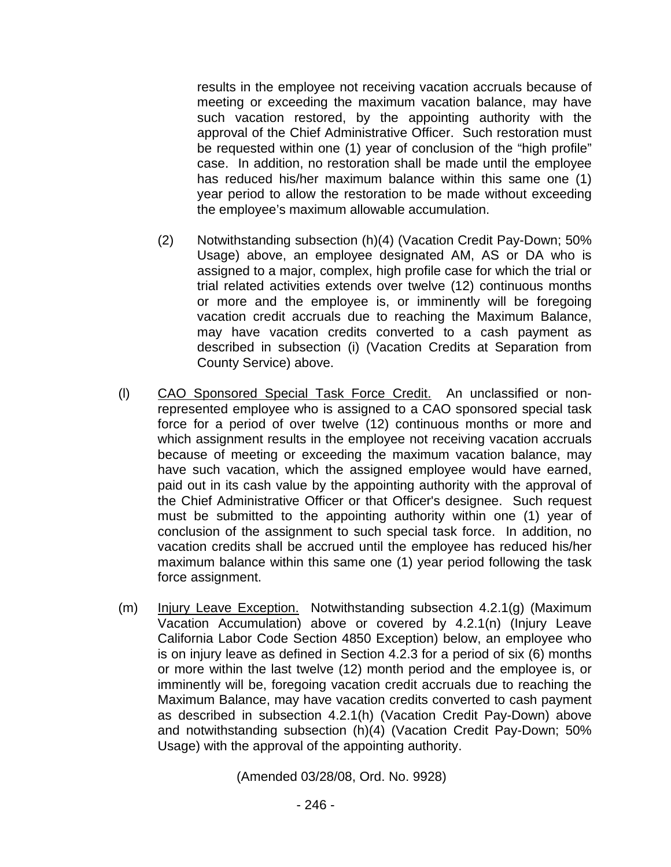results in the employee not receiving vacation accruals because of meeting or exceeding the maximum vacation balance, may have such vacation restored, by the appointing authority with the approval of the Chief Administrative Officer. Such restoration must be requested within one (1) year of conclusion of the "high profile" case. In addition, no restoration shall be made until the employee has reduced his/her maximum balance within this same one (1) year period to allow the restoration to be made without exceeding the employee's maximum allowable accumulation.

- (2) Notwithstanding subsection (h)(4) (Vacation Credit Pay-Down; 50% Usage) above, an employee designated AM, AS or DA who is assigned to a major, complex, high profile case for which the trial or trial related activities extends over twelve (12) continuous months or more and the employee is, or imminently will be foregoing vacation credit accruals due to reaching the Maximum Balance, may have vacation credits converted to a cash payment as described in subsection (i) (Vacation Credits at Separation from County Service) above.
- (l) CAO Sponsored Special Task Force Credit. An unclassified or nonrepresented employee who is assigned to a CAO sponsored special task force for a period of over twelve (12) continuous months or more and which assignment results in the employee not receiving vacation accruals because of meeting or exceeding the maximum vacation balance, may have such vacation, which the assigned employee would have earned, paid out in its cash value by the appointing authority with the approval of the Chief Administrative Officer or that Officer's designee. Such request must be submitted to the appointing authority within one (1) year of conclusion of the assignment to such special task force. In addition, no vacation credits shall be accrued until the employee has reduced his/her maximum balance within this same one (1) year period following the task force assignment.
- (m) Injury Leave Exception. Notwithstanding subsection 4.2.1(g) (Maximum Vacation Accumulation) above or covered by 4.2.1(n) (Injury Leave California Labor Code Section 4850 Exception) below, an employee who is on injury leave as defined in Section 4.2.3 for a period of six (6) months or more within the last twelve (12) month period and the employee is, or imminently will be, foregoing vacation credit accruals due to reaching the Maximum Balance, may have vacation credits converted to cash payment as described in subsection 4.2.1(h) (Vacation Credit Pay-Down) above and notwithstanding subsection (h)(4) (Vacation Credit Pay-Down; 50% Usage) with the approval of the appointing authority.

(Amended 03/28/08, Ord. No. 9928)